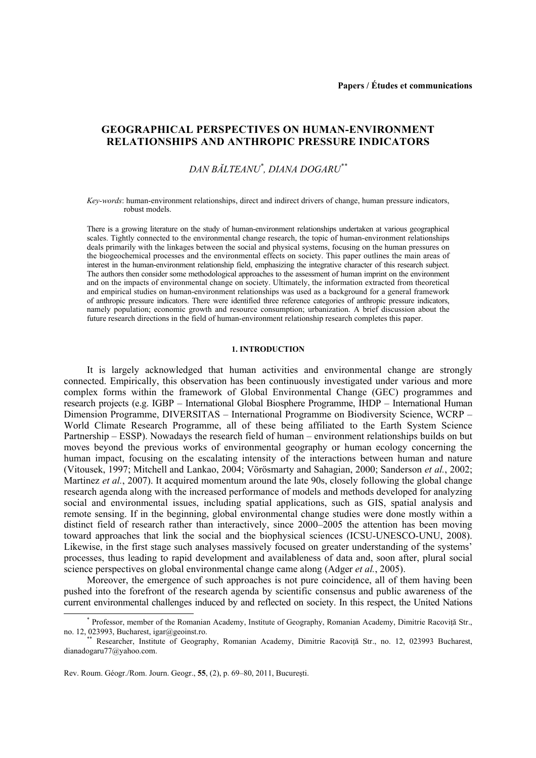## **GEOGRAPHICAL PERSPECTIVES ON HUMAN-ENVIRONMENT RELATIONSHIPS AND ANTHROPIC PRESSURE INDICATORS**

# *DAN BĂLTEANU\* , DIANA DOGARU\*\**

*Key-words*: human-environment relationships, direct and indirect drivers of change, human pressure indicators, robust models.

There is a growing literature on the study of human-environment relationships undertaken at various geographical scales. Tightly connected to the environmental change research, the topic of human-environment relationships deals primarily with the linkages between the social and physical systems, focusing on the human pressures on the biogeochemical processes and the environmental effects on society. This paper outlines the main areas of interest in the human-environment relationship field, emphasizing the integrative character of this research subject. The authors then consider some methodological approaches to the assessment of human imprint on the environment and on the impacts of environmental change on society. Ultimately, the information extracted from theoretical and empirical studies on human-environment relationships was used as a background for a general framework of anthropic pressure indicators. There were identified three reference categories of anthropic pressure indicators, namely population; economic growth and resource consumption; urbanization. A brief discussion about the future research directions in the field of human-environment relationship research completes this paper.

#### **1. INTRODUCTION**

It is largely acknowledged that human activities and environmental change are strongly connected. Empirically, this observation has been continuously investigated under various and more complex forms within the framework of Global Environmental Change (GEC) programmes and research projects (e.g. IGBP – International Global Biosphere Programme, IHDP – International Human Dimension Programme, DIVERSITAS – International Programme on Biodiversity Science, WCRP – World Climate Research Programme, all of these being affiliated to the Earth System Science Partnership – ESSP). Nowadays the research field of human – environment relationships builds on but moves beyond the previous works of environmental geography or human ecology concerning the human impact, focusing on the escalating intensity of the interactions between human and nature (Vitousek, 1997; Mitchell and Lankao, 2004; Vörösmarty and Sahagian, 2000; Sanderson *et al.*, 2002; Martinez *et al.*, 2007). It acquired momentum around the late 90s, closely following the global change research agenda along with the increased performance of models and methods developed for analyzing social and environmental issues, including spatial applications, such as GIS, spatial analysis and remote sensing. If in the beginning, global environmental change studies were done mostly within a distinct field of research rather than interactively, since 2000–2005 the attention has been moving toward approaches that link the social and the biophysical sciences (ICSU-UNESCO-UNU, 2008). Likewise, in the first stage such analyses massively focused on greater understanding of the systems' processes, thus leading to rapid development and availableness of data and, soon after, plural social science perspectives on global environmental change came along (Adger *et al.*, 2005).

Moreover, the emergence of such approaches is not pure coincidence, all of them having been pushed into the forefront of the research agenda by scientific consensus and public awareness of the current environmental challenges induced by and reflected on society. In this respect, the United Nations

 <sup>\*</sup> Professor, member of the Romanian Academy, Institute of Geography, Romanian Academy, Dimitrie Racoviţă Str.,

Researcher, Institute of Geography, Romanian Academy, Dimitrie Racoviță Str., no. 12, 023993 Bucharest, dianadogaru77@yahoo.com.

Rev. Roum. Géogr./Rom. Journ. Geogr., **55**, (2), p. 69–80, 2011, Bucureşti.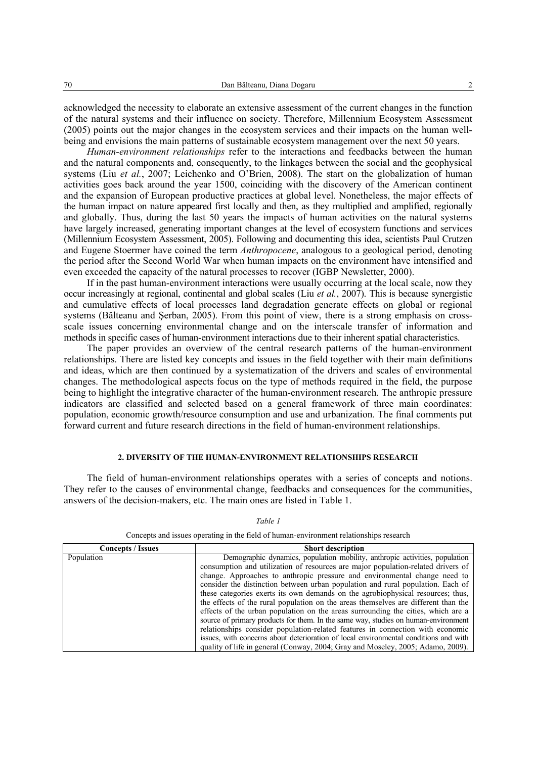acknowledged the necessity to elaborate an extensive assessment of the current changes in the function of the natural systems and their influence on society. Therefore, Millennium Ecosystem Assessment (2005) points out the major changes in the ecosystem services and their impacts on the human wellbeing and envisions the main patterns of sustainable ecosystem management over the next 50 years.

*Human-environment relationships* refer to the interactions and feedbacks between the human and the natural components and, consequently, to the linkages between the social and the geophysical systems (Liu *et al.*, 2007; Leichenko and O'Brien, 2008). The start on the globalization of human activities goes back around the year 1500, coinciding with the discovery of the American continent and the expansion of European productive practices at global level. Nonetheless, the major effects of the human impact on nature appeared first locally and then, as they multiplied and amplified, regionally and globally. Thus, during the last 50 years the impacts of human activities on the natural systems have largely increased, generating important changes at the level of ecosystem functions and services (Millennium Ecosystem Assessment, 2005). Following and documenting this idea, scientists Paul Crutzen and Eugene Stoermer have coined the term *Anthropocene*, analogous to a geological period, denoting the period after the Second World War when human impacts on the environment have intensified and even exceeded the capacity of the natural processes to recover (IGBP Newsletter, 2000).

If in the past human-environment interactions were usually occurring at the local scale, now they occur increasingly at regional, continental and global scales (Liu *et al.*, 2007). This is because synergistic and cumulative effects of local processes land degradation generate effects on global or regional systems (Bălteanu and Şerban, 2005). From this point of view, there is a strong emphasis on crossscale issues concerning environmental change and on the interscale transfer of information and methods in specific cases of human-environment interactions due to their inherent spatial characteristics.

The paper provides an overview of the central research patterns of the human-environment relationships. There are listed key concepts and issues in the field together with their main definitions and ideas, which are then continued by a systematization of the drivers and scales of environmental changes. The methodological aspects focus on the type of methods required in the field, the purpose being to highlight the integrative character of the human-environment research. The anthropic pressure indicators are classified and selected based on a general framework of three main coordinates: population, economic growth/resource consumption and use and urbanization. The final comments put forward current and future research directions in the field of human-environment relationships.

#### **2. DIVERSITY OF THE HUMAN-ENVIRONMENT RELATIONSHIPS RESEARCH**

The field of human-environment relationships operates with a series of concepts and notions. They refer to the causes of environmental change, feedbacks and consequences for the communities, answers of the decision-makers, etc. The main ones are listed in Table 1.

| <b>Concepts / Issues</b> | <b>Short description</b>                                                             |
|--------------------------|--------------------------------------------------------------------------------------|
| Population               | Demographic dynamics, population mobility, anthropic activities, population          |
|                          | consumption and utilization of resources are major population-related drivers of     |
|                          | change. Approaches to anthropic pressure and environmental change need to            |
|                          | consider the distinction between urban population and rural population. Each of      |
|                          | these categories exerts its own demands on the agrobiophysical resources; thus,      |
|                          | the effects of the rural population on the areas themselves are different than the   |
|                          | effects of the urban population on the areas surrounding the cities, which are a     |
|                          | source of primary products for them. In the same way, studies on human-environment   |
|                          | relationships consider population-related features in connection with economic       |
|                          | issues, with concerns about deterioration of local environmental conditions and with |
|                          | quality of life in general (Conway, 2004; Gray and Moseley, 2005; Adamo, 2009).      |

*Table 1* 

Concepts and issues operating in the field of human-environment relationships research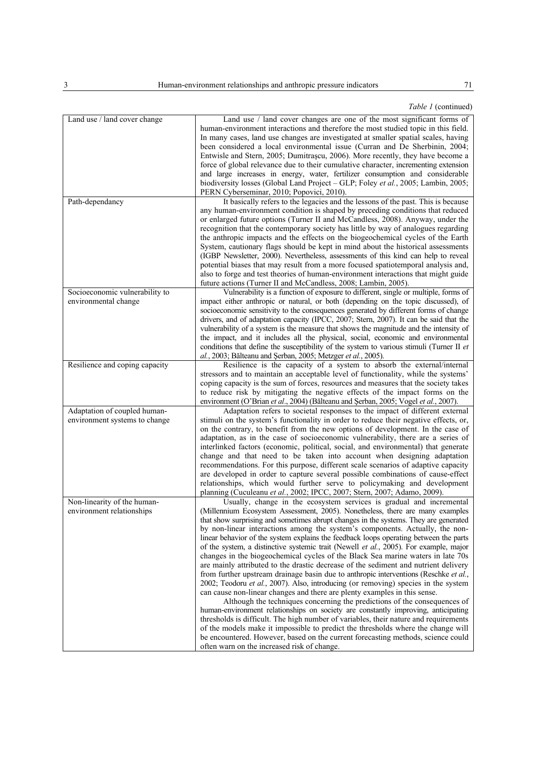| Table 1 (continued) |  |
|---------------------|--|
|---------------------|--|

| Land use / land cover change   | Land use / land cover changes are one of the most significant forms of                   |
|--------------------------------|------------------------------------------------------------------------------------------|
|                                | human-environment interactions and therefore the most studied topic in this field.       |
|                                | In many cases, land use changes are investigated at smaller spatial scales, having       |
|                                |                                                                                          |
|                                | been considered a local environmental issue (Curran and De Sherbinin, 2004;              |
|                                | Entwisle and Stern, 2005; Dumitrascu, 2006). More recently, they have become a           |
|                                | force of global relevance due to their cumulative character, incrementing extension      |
|                                | and large increases in energy, water, fertilizer consumption and considerable            |
|                                | biodiversity losses (Global Land Project - GLP; Foley et al., 2005; Lambin, 2005;        |
|                                | PERN Cyberseminar, 2010; Popovici, 2010).                                                |
| Path-dependancy                | It basically refers to the legacies and the lessons of the past. This is because         |
|                                | any human-environment condition is shaped by preceding conditions that reduced           |
|                                | or enlarged future options (Turner II and McCandless, 2008). Anyway, under the           |
|                                | recognition that the contemporary society has little by way of analogues regarding       |
|                                | the anthropic impacts and the effects on the biogeochemical cycles of the Earth          |
|                                | System, cautionary flags should be kept in mind about the historical assessments         |
|                                | (IGBP Newsletter, 2000). Nevertheless, assessments of this kind can help to reveal       |
|                                |                                                                                          |
|                                | potential biases that may result from a more focused spatiotemporal analysis and,        |
|                                | also to forge and test theories of human-environment interactions that might guide       |
|                                | future actions (Turner II and McCandless, 2008; Lambin, 2005).                           |
| Socioeconomic vulnerability to | Vulnerability is a function of exposure to different, single or multiple, forms of       |
| environmental change           | impact either anthropic or natural, or both (depending on the topic discussed), of       |
|                                | socioeconomic sensitivity to the consequences generated by different forms of change     |
|                                | drivers, and of adaptation capacity (IPCC, 2007; Stern, 2007). It can be said that the   |
|                                | vulnerability of a system is the measure that shows the magnitude and the intensity of   |
|                                | the impact, and it includes all the physical, social, economic and environmental         |
|                                | conditions that define the susceptibility of the system to various stimuli (Turner II et |
|                                | al., 2003; Bălteanu and Șerban, 2005; Metzger et al., 2005).                             |
| Resilience and coping capacity | Resilience is the capacity of a system to absorb the external/internal                   |
|                                |                                                                                          |
|                                | stressors and to maintain an acceptable level of functionality, while the systems'       |
|                                | coping capacity is the sum of forces, resources and measures that the society takes      |
|                                | to reduce risk by mitigating the negative effects of the impact forms on the             |
|                                | environment (O'Brian et al., 2004) (Bălteanu and Șerban, 2005; Vogel et al., 2007).      |
| Adaptation of coupled human-   | Adaptation refers to societal responses to the impact of different external              |
| environment systems to change  | stimuli on the system's functionality in order to reduce their negative effects, or,     |
|                                | on the contrary, to benefit from the new options of development. In the case of          |
|                                | adaptation, as in the case of socioeconomic vulnerability, there are a series of         |
|                                | interlinked factors (economic, political, social, and environmental) that generate       |
|                                | change and that need to be taken into account when designing adaptation                  |
|                                | recommendations. For this purpose, different scale scenarios of adaptive capacity        |
|                                | are developed in order to capture several possible combinations of cause-effect          |
|                                | relationships, which would further serve to policymaking and development                 |
|                                |                                                                                          |
|                                | planning (Cuculeanu et al., 2002; IPCC, 2007; Stern, 2007; Adamo, 2009).                 |
| Non-linearity of the human-    | Usually, change in the ecosystem services is gradual and incremental                     |
| environment relationships      | (Millennium Ecosystem Assessment, 2005). Nonetheless, there are many examples            |
|                                | that show surprising and sometimes abrupt changes in the systems. They are generated     |
|                                | by non-linear interactions among the system's components. Actually, the non-             |
|                                | linear behavior of the system explains the feedback loops operating between the parts    |
|                                | of the system, a distinctive systemic trait (Newell et al., 2005). For example, major    |
|                                | changes in the biogeochemical cycles of the Black Sea marine waters in late 70s          |
|                                | are mainly attributed to the drastic decrease of the sediment and nutrient delivery      |
|                                | from further upstream drainage basin due to anthropic interventions (Reschke et al.,     |
|                                | 2002; Teodoru et al., 2007). Also, introducing (or removing) species in the system       |
|                                | can cause non-linear changes and there are plenty examples in this sense.                |
|                                | Although the techniques concerning the predictions of the consequences of                |
|                                | human-environment relationships on society are constantly improving, anticipating        |
|                                | thresholds is difficult. The high number of variables, their nature and requirements     |
|                                |                                                                                          |
|                                | of the models make it impossible to predict the thresholds where the change will         |
|                                | be encountered. However, based on the current forecasting methods, science could         |
|                                | often warn on the increased risk of change.                                              |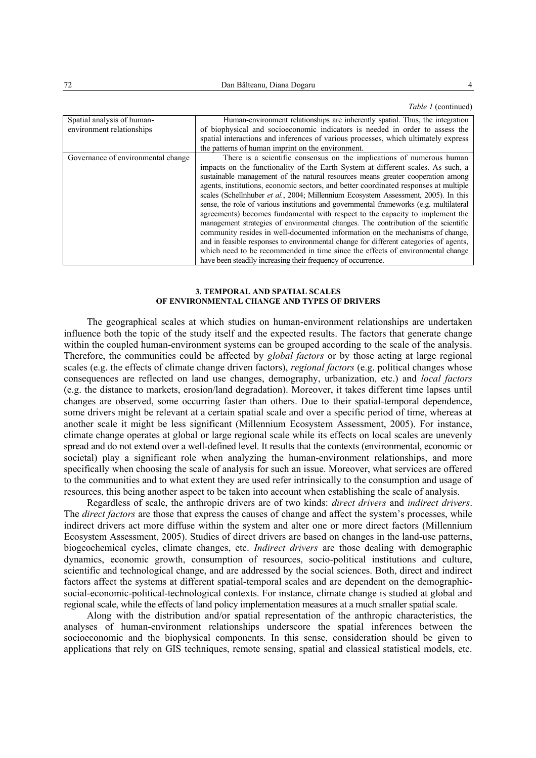*Table 1* (continued)

| Spatial analysis of human-<br>environment relationships | Human-environment relationships are inherently spatial. Thus, the integration<br>of biophysical and socioeconomic indicators is needed in order to assess the<br>spatial interactions and inferences of various processes, which ultimately express<br>the patterns of human imprint on the environment.                                                                                                                                                                                                                                                                                                                                                                                                                                                                                                                                                                                                                                                                                                                        |  |
|---------------------------------------------------------|---------------------------------------------------------------------------------------------------------------------------------------------------------------------------------------------------------------------------------------------------------------------------------------------------------------------------------------------------------------------------------------------------------------------------------------------------------------------------------------------------------------------------------------------------------------------------------------------------------------------------------------------------------------------------------------------------------------------------------------------------------------------------------------------------------------------------------------------------------------------------------------------------------------------------------------------------------------------------------------------------------------------------------|--|
| Governance of environmental change                      | There is a scientific consensus on the implications of numerous human<br>impacts on the functionality of the Earth System at different scales. As such, a<br>sustainable management of the natural resources means greater cooperation among<br>agents, institutions, economic sectors, and better coordinated responses at multiple<br>scales (Schellnhuber <i>et al.</i> , 2004; Millennium Ecosystem Assessment, 2005). In this<br>sense, the role of various institutions and governmental frameworks (e.g. multilateral<br>agreements) becomes fundamental with respect to the capacity to implement the<br>management strategies of environmental changes. The contribution of the scientific<br>community resides in well-documented information on the mechanisms of change,<br>and in feasible responses to environmental change for different categories of agents,<br>which need to be recommended in time since the effects of environmental change<br>have been steadily increasing their frequency of occurrence. |  |

#### **3. TEMPORAL AND SPATIAL SCALES OF ENVIRONMENTAL CHANGE AND TYPES OF DRIVERS**

The geographical scales at which studies on human-environment relationships are undertaken influence both the topic of the study itself and the expected results. The factors that generate change within the coupled human-environment systems can be grouped according to the scale of the analysis. Therefore, the communities could be affected by *global factors* or by those acting at large regional scales (e.g. the effects of climate change driven factors), *regional factors* (e.g. political changes whose consequences are reflected on land use changes, demography, urbanization, etc.) and *local factors* (e.g. the distance to markets, erosion/land degradation). Moreover, it takes different time lapses until changes are observed, some occurring faster than others. Due to their spatial-temporal dependence, some drivers might be relevant at a certain spatial scale and over a specific period of time, whereas at another scale it might be less significant (Millennium Ecosystem Assessment, 2005). For instance, climate change operates at global or large regional scale while its effects on local scales are unevenly spread and do not extend over a well-defined level. It results that the contexts (environmental, economic or societal) play a significant role when analyzing the human-environment relationships, and more specifically when choosing the scale of analysis for such an issue. Moreover, what services are offered to the communities and to what extent they are used refer intrinsically to the consumption and usage of resources, this being another aspect to be taken into account when establishing the scale of analysis.

Regardless of scale, the anthropic drivers are of two kinds: *direct drivers* and *indirect drivers*. The *direct factors* are those that express the causes of change and affect the system's processes, while indirect drivers act more diffuse within the system and alter one or more direct factors (Millennium Ecosystem Assessment, 2005). Studies of direct drivers are based on changes in the land-use patterns, biogeochemical cycles, climate changes, etc. *Indirect drivers* are those dealing with demographic dynamics, economic growth, consumption of resources, socio-political institutions and culture, scientific and technological change, and are addressed by the social sciences. Both, direct and indirect factors affect the systems at different spatial-temporal scales and are dependent on the demographicsocial-economic-political-technological contexts. For instance, climate change is studied at global and regional scale, while the effects of land policy implementation measures at a much smaller spatial scale.

Along with the distribution and/or spatial representation of the anthropic characteristics, the analyses of human-environment relationships underscore the spatial inferences between the socioeconomic and the biophysical components. In this sense, consideration should be given to applications that rely on GIS techniques, remote sensing, spatial and classical statistical models, etc.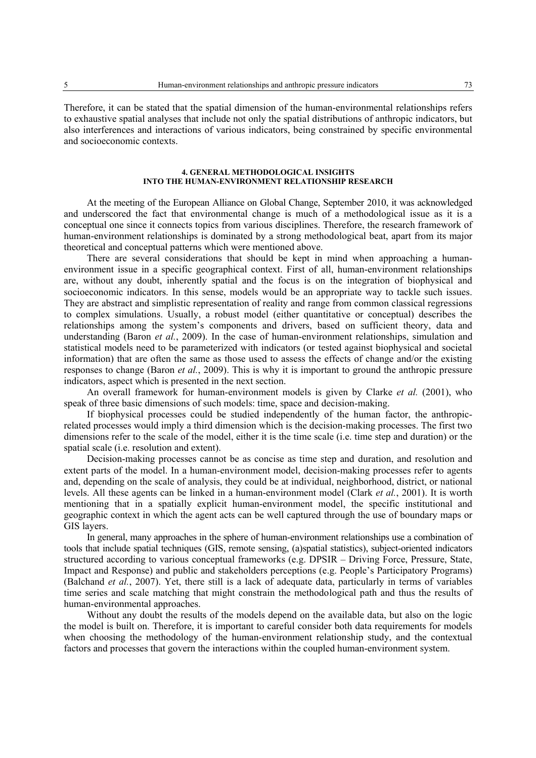Therefore, it can be stated that the spatial dimension of the human-environmental relationships refers to exhaustive spatial analyses that include not only the spatial distributions of anthropic indicators, but also interferences and interactions of various indicators, being constrained by specific environmental and socioeconomic contexts.

#### **4. GENERAL METHODOLOGICAL INSIGHTS INTO THE HUMAN-ENVIRONMENT RELATIONSHIP RESEARCH**

At the meeting of the European Alliance on Global Change, September 2010, it was acknowledged and underscored the fact that environmental change is much of a methodological issue as it is a conceptual one since it connects topics from various disciplines. Therefore, the research framework of human-environment relationships is dominated by a strong methodological beat, apart from its major theoretical and conceptual patterns which were mentioned above.

There are several considerations that should be kept in mind when approaching a humanenvironment issue in a specific geographical context. First of all, human-environment relationships are, without any doubt, inherently spatial and the focus is on the integration of biophysical and socioeconomic indicators. In this sense, models would be an appropriate way to tackle such issues. They are abstract and simplistic representation of reality and range from common classical regressions to complex simulations. Usually, a robust model (either quantitative or conceptual) describes the relationships among the system's components and drivers, based on sufficient theory, data and understanding (Baron *et al.*, 2009). In the case of human-environment relationships, simulation and statistical models need to be parameterized with indicators (or tested against biophysical and societal information) that are often the same as those used to assess the effects of change and/or the existing responses to change (Baron *et al.*, 2009). This is why it is important to ground the anthropic pressure indicators, aspect which is presented in the next section.

An overall framework for human-environment models is given by Clarke *et al.* (2001), who speak of three basic dimensions of such models: time, space and decision-making.

If biophysical processes could be studied independently of the human factor, the anthropicrelated processes would imply a third dimension which is the decision-making processes. The first two dimensions refer to the scale of the model, either it is the time scale (i.e. time step and duration) or the spatial scale (i.e. resolution and extent).

Decision-making processes cannot be as concise as time step and duration, and resolution and extent parts of the model. In a human-environment model, decision-making processes refer to agents and, depending on the scale of analysis, they could be at individual, neighborhood, district, or national levels. All these agents can be linked in a human-environment model (Clark *et al.*, 2001). It is worth mentioning that in a spatially explicit human-environment model, the specific institutional and geographic context in which the agent acts can be well captured through the use of boundary maps or GIS layers.

In general, many approaches in the sphere of human-environment relationships use a combination of tools that include spatial techniques (GIS, remote sensing, (a)spatial statistics), subject-oriented indicators structured according to various conceptual frameworks (e.g. DPSIR – Driving Force, Pressure, State, Impact and Response) and public and stakeholders perceptions (e.g. People's Participatory Programs) (Balchand *et al.*, 2007). Yet, there still is a lack of adequate data, particularly in terms of variables time series and scale matching that might constrain the methodological path and thus the results of human-environmental approaches.

Without any doubt the results of the models depend on the available data, but also on the logic the model is built on. Therefore, it is important to careful consider both data requirements for models when choosing the methodology of the human-environment relationship study, and the contextual factors and processes that govern the interactions within the coupled human-environment system.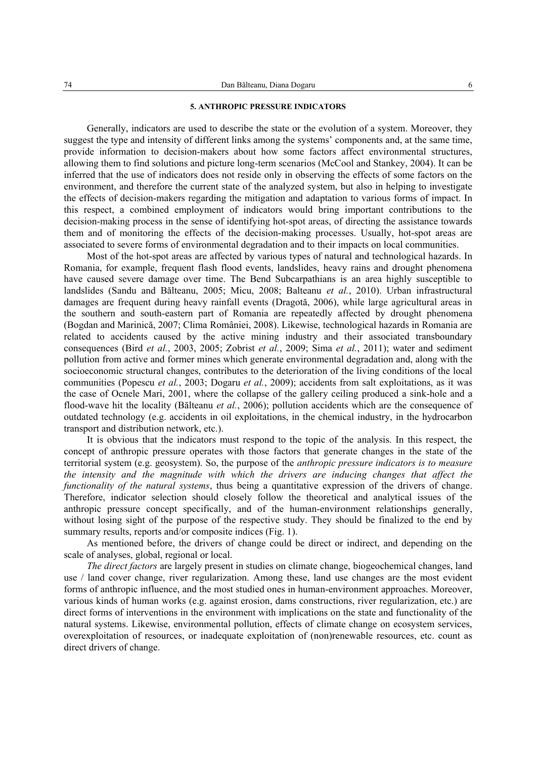### **5. ANTHROPIC PRESSURE INDICATORS**

Generally, indicators are used to describe the state or the evolution of a system. Moreover, they suggest the type and intensity of different links among the systems' components and, at the same time, provide information to decision-makers about how some factors affect environmental structures, allowing them to find solutions and picture long-term scenarios (McCool and Stankey, 2004). It can be inferred that the use of indicators does not reside only in observing the effects of some factors on the environment, and therefore the current state of the analyzed system, but also in helping to investigate the effects of decision-makers regarding the mitigation and adaptation to various forms of impact. In this respect, a combined employment of indicators would bring important contributions to the decision-making process in the sense of identifying hot-spot areas, of directing the assistance towards them and of monitoring the effects of the decision-making processes. Usually, hot-spot areas are associated to severe forms of environmental degradation and to their impacts on local communities.

Most of the hot-spot areas are affected by various types of natural and technological hazards. In Romania, for example, frequent flash flood events, landslides, heavy rains and drought phenomena have caused severe damage over time. The Bend Subcarpathians is an area highly susceptible to landslides (Sandu and Bălteanu, 2005; Micu, 2008; Balteanu *et al.*, 2010). Urban infrastructural damages are frequent during heavy rainfall events (Dragotă, 2006), while large agricultural areas in the southern and south-eastern part of Romania are repeatedly affected by drought phenomena (Bogdan and Marinică, 2007; Clima României, 2008). Likewise, technological hazards in Romania are related to accidents caused by the active mining industry and their associated transboundary consequences (Bird *et al.*, 2003, 2005; Zobrist *et al.*, 2009; Sima *et al.*, 2011); water and sediment pollution from active and former mines which generate environmental degradation and, along with the socioeconomic structural changes, contributes to the deterioration of the living conditions of the local communities (Popescu *et al.*, 2003; Dogaru *et al.*, 2009); accidents from salt exploitations, as it was the case of Ocnele Mari, 2001, where the collapse of the gallery ceiling produced a sink-hole and a flood-wave hit the locality (Bălteanu *et al.*, 2006); pollution accidents which are the consequence of outdated technology (e.g. accidents in oil exploitations, in the chemical industry, in the hydrocarbon transport and distribution network, etc.).

It is obvious that the indicators must respond to the topic of the analysis. In this respect, the concept of anthropic pressure operates with those factors that generate changes in the state of the territorial system (e.g. geosystem). So, the purpose of the *anthropic pressure indicators is to measure the intensity and the magnitude with which the drivers are inducing changes that affect the functionality of the natural systems*, thus being a quantitative expression of the drivers of change. Therefore, indicator selection should closely follow the theoretical and analytical issues of the anthropic pressure concept specifically, and of the human-environment relationships generally, without losing sight of the purpose of the respective study. They should be finalized to the end by summary results, reports and/or composite indices (Fig. 1).

As mentioned before, the drivers of change could be direct or indirect, and depending on the scale of analyses, global, regional or local.

*The direct factors* are largely present in studies on climate change, biogeochemical changes, land use / land cover change, river regularization. Among these, land use changes are the most evident forms of anthropic influence, and the most studied ones in human-environment approaches. Moreover, various kinds of human works (e.g. against erosion, dams constructions, river regularization, etc.) are direct forms of interventions in the environment with implications on the state and functionality of the natural systems. Likewise, environmental pollution, effects of climate change on ecosystem services, overexploitation of resources, or inadequate exploitation of (non)renewable resources, etc. count as direct drivers of change.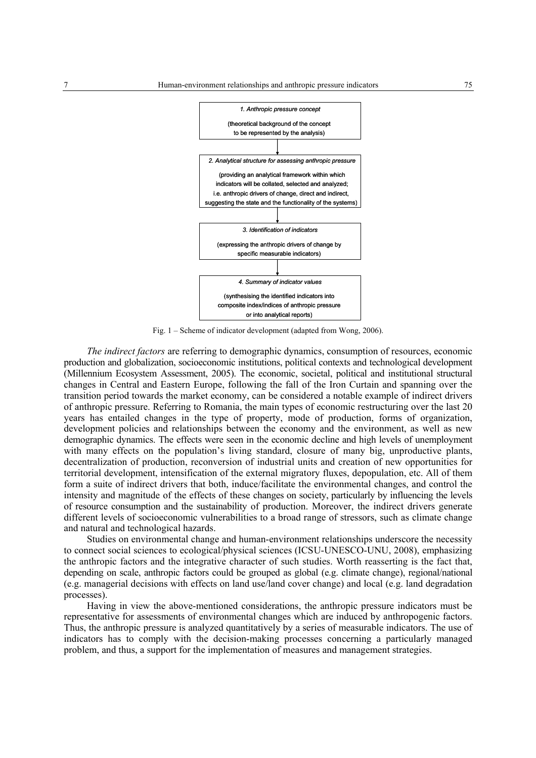

Fig. 1 – Scheme of indicator development (adapted from Wong, 2006).

*The indirect factors* are referring to demographic dynamics, consumption of resources, economic production and globalization, socioeconomic institutions, political contexts and technological development (Millennium Ecosystem Assessment, 2005). The economic, societal, political and institutional structural changes in Central and Eastern Europe, following the fall of the Iron Curtain and spanning over the transition period towards the market economy, can be considered a notable example of indirect drivers of anthropic pressure. Referring to Romania, the main types of economic restructuring over the last 20 years has entailed changes in the type of property, mode of production, forms of organization, development policies and relationships between the economy and the environment, as well as new demographic dynamics. The effects were seen in the economic decline and high levels of unemployment with many effects on the population's living standard, closure of many big, unproductive plants, decentralization of production, reconversion of industrial units and creation of new opportunities for territorial development, intensification of the external migratory fluxes, depopulation, etc. All of them form a suite of indirect drivers that both, induce/facilitate the environmental changes, and control the intensity and magnitude of the effects of these changes on society, particularly by influencing the levels of resource consumption and the sustainability of production. Moreover, the indirect drivers generate different levels of socioeconomic vulnerabilities to a broad range of stressors, such as climate change and natural and technological hazards.

Studies on environmental change and human-environment relationships underscore the necessity to connect social sciences to ecological/physical sciences (ICSU-UNESCO-UNU, 2008), emphasizing the anthropic factors and the integrative character of such studies. Worth reasserting is the fact that, depending on scale, anthropic factors could be grouped as global (e.g. climate change), regional/national (e.g. managerial decisions with effects on land use/land cover change) and local (e.g. land degradation processes).

Having in view the above-mentioned considerations, the anthropic pressure indicators must be representative for assessments of environmental changes which are induced by anthropogenic factors. Thus, the anthropic pressure is analyzed quantitatively by a series of measurable indicators. The use of indicators has to comply with the decision-making processes concerning a particularly managed problem, and thus, a support for the implementation of measures and management strategies.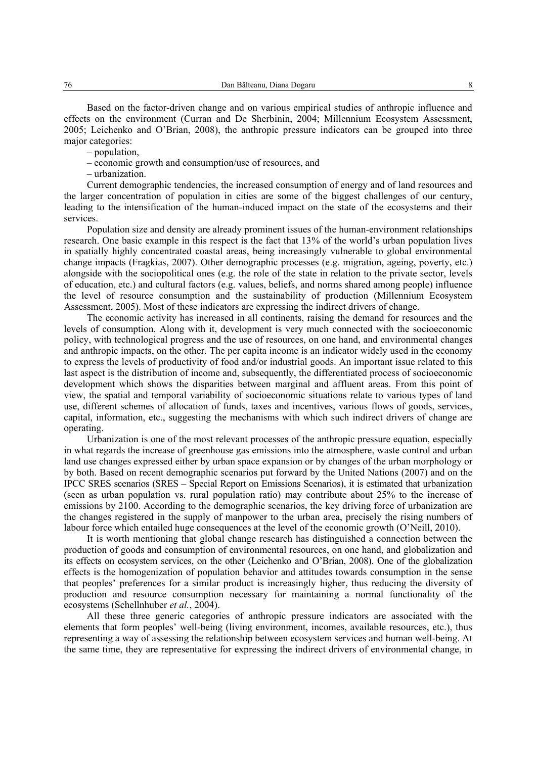Based on the factor-driven change and on various empirical studies of anthropic influence and effects on the environment (Curran and De Sherbinin, 2004; Millennium Ecosystem Assessment, 2005; Leichenko and O'Brian, 2008), the anthropic pressure indicators can be grouped into three major categories:

– population,

– economic growth and consumption/use of resources, and

– urbanization.

Current demographic tendencies, the increased consumption of energy and of land resources and the larger concentration of population in cities are some of the biggest challenges of our century, leading to the intensification of the human-induced impact on the state of the ecosystems and their services.

Population size and density are already prominent issues of the human-environment relationships research. One basic example in this respect is the fact that 13% of the world's urban population lives in spatially highly concentrated coastal areas, being increasingly vulnerable to global environmental change impacts (Fragkias, 2007). Other demographic processes (e.g. migration, ageing, poverty, etc.) alongside with the sociopolitical ones (e.g. the role of the state in relation to the private sector, levels of education, etc.) and cultural factors (e.g. values, beliefs, and norms shared among people) influence the level of resource consumption and the sustainability of production (Millennium Ecosystem Assessment, 2005). Most of these indicators are expressing the indirect drivers of change.

The economic activity has increased in all continents, raising the demand for resources and the levels of consumption. Along with it, development is very much connected with the socioeconomic policy, with technological progress and the use of resources, on one hand, and environmental changes and anthropic impacts, on the other. The per capita income is an indicator widely used in the economy to express the levels of productivity of food and/or industrial goods. An important issue related to this last aspect is the distribution of income and, subsequently, the differentiated process of socioeconomic development which shows the disparities between marginal and affluent areas. From this point of view, the spatial and temporal variability of socioeconomic situations relate to various types of land use, different schemes of allocation of funds, taxes and incentives, various flows of goods, services, capital, information, etc., suggesting the mechanisms with which such indirect drivers of change are operating.

Urbanization is one of the most relevant processes of the anthropic pressure equation, especially in what regards the increase of greenhouse gas emissions into the atmosphere, waste control and urban land use changes expressed either by urban space expansion or by changes of the urban morphology or by both. Based on recent demographic scenarios put forward by the United Nations (2007) and on the IPCC SRES scenarios (SRES – Special Report on Emissions Scenarios), it is estimated that urbanization (seen as urban population vs. rural population ratio) may contribute about 25% to the increase of emissions by 2100. According to the demographic scenarios, the key driving force of urbanization are the changes registered in the supply of manpower to the urban area, precisely the rising numbers of labour force which entailed huge consequences at the level of the economic growth (O'Neill, 2010).

It is worth mentioning that global change research has distinguished a connection between the production of goods and consumption of environmental resources, on one hand, and globalization and its effects on ecosystem services, on the other (Leichenko and O'Brian, 2008). One of the globalization effects is the homogenization of population behavior and attitudes towards consumption in the sense that peoples' preferences for a similar product is increasingly higher, thus reducing the diversity of production and resource consumption necessary for maintaining a normal functionality of the ecosystems (Schellnhuber *et al.*, 2004).

All these three generic categories of anthropic pressure indicators are associated with the elements that form peoples' well-being (living environment, incomes, available resources, etc.), thus representing a way of assessing the relationship between ecosystem services and human well-being. At the same time, they are representative for expressing the indirect drivers of environmental change, in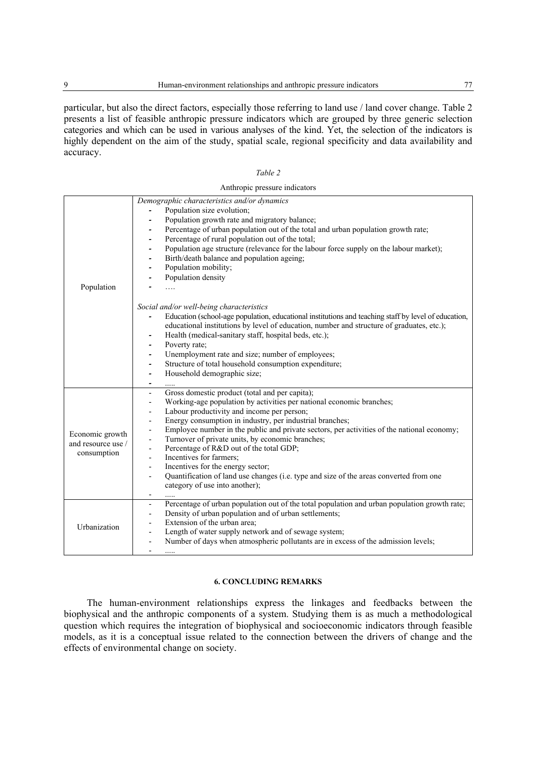particular, but also the direct factors, especially those referring to land use / land cover change. Table 2 presents a list of feasible anthropic pressure indicators which are grouped by three generic selection categories and which can be used in various analyses of the kind. Yet, the selection of the indicators is highly dependent on the aim of the study, spatial scale, regional specificity and data availability and accuracy.

| an. |  |
|-----|--|
|     |  |

|                                                      | Anthropic pressure indicators                                                                                                                                                                                                                                                                                                                                                                                                                                                                                                                                                                                                                                                                                                                                                                                                                                                                                                                                                                                                                                                                                                                                                                |
|------------------------------------------------------|----------------------------------------------------------------------------------------------------------------------------------------------------------------------------------------------------------------------------------------------------------------------------------------------------------------------------------------------------------------------------------------------------------------------------------------------------------------------------------------------------------------------------------------------------------------------------------------------------------------------------------------------------------------------------------------------------------------------------------------------------------------------------------------------------------------------------------------------------------------------------------------------------------------------------------------------------------------------------------------------------------------------------------------------------------------------------------------------------------------------------------------------------------------------------------------------|
| Population                                           | Demographic characteristics and/or dynamics<br>Population size evolution;<br>Population growth rate and migratory balance;<br>Percentage of urban population out of the total and urban population growth rate;<br>Percentage of rural population out of the total;<br>$\overline{\phantom{a}}$<br>Population age structure (relevance for the labour force supply on the labour market);<br>$\overline{\phantom{a}}$<br>Birth/death balance and population ageing;<br>$\overline{\phantom{a}}$<br>Population mobility;<br>$\overline{\phantom{a}}$<br>Population density<br>Social and/or well-being characteristics<br>Education (school-age population, educational institutions and teaching staff by level of education,<br>$\overline{\phantom{a}}$<br>educational institutions by level of education, number and structure of graduates, etc.);<br>Health (medical-sanitary staff, hospital beds, etc.);<br>$\overline{\phantom{a}}$<br>Poverty rate;<br>Unemployment rate and size; number of employees;<br>$\overline{\phantom{a}}$<br>Structure of total household consumption expenditure;<br>$\overline{\phantom{a}}$<br>Household demographic size;<br>$\overline{\phantom{a}}$ |
| Economic growth<br>and resource use /<br>consumption | Gross domestic product (total and per capita);<br>$\overline{\phantom{a}}$<br>Working-age population by activities per national economic branches;<br>$\overline{\phantom{a}}$<br>Labour productivity and income per person;<br>$\blacksquare$<br>Energy consumption in industry, per industrial branches;<br>$\overline{\phantom{a}}$<br>Employee number in the public and private sectors, per activities of the national economy;<br>$\overline{\phantom{a}}$<br>Turnover of private units, by economic branches;<br>$\overline{\phantom{a}}$<br>Percentage of R&D out of the total GDP;<br>$\overline{\phantom{0}}$<br>Incentives for farmers;<br>$\overline{\phantom{0}}$<br>Incentives for the energy sector;<br>$\overline{\phantom{a}}$<br>Quantification of land use changes (i.e. type and size of the areas converted from one<br>$\overline{\phantom{a}}$<br>category of use into another);                                                                                                                                                                                                                                                                                      |
| Urbanization                                         | Percentage of urban population out of the total population and urban population growth rate;<br>$\overline{\phantom{a}}$<br>Density of urban population and of urban settlements;<br>$\overline{\phantom{a}}$<br>Extension of the urban area;<br>$\overline{\phantom{a}}$<br>Length of water supply network and of sewage system;<br>$\overline{\phantom{a}}$<br>Number of days when atmospheric pollutants are in excess of the admission levels;<br>$\overline{\phantom{a}}$                                                                                                                                                                                                                                                                                                                                                                                                                                                                                                                                                                                                                                                                                                               |

## Anthropic pressure indicators

### **6. CONCLUDING REMARKS**

The human-environment relationships express the linkages and feedbacks between the biophysical and the anthropic components of a system. Studying them is as much a methodological question which requires the integration of biophysical and socioeconomic indicators through feasible models, as it is a conceptual issue related to the connection between the drivers of change and the effects of environmental change on society.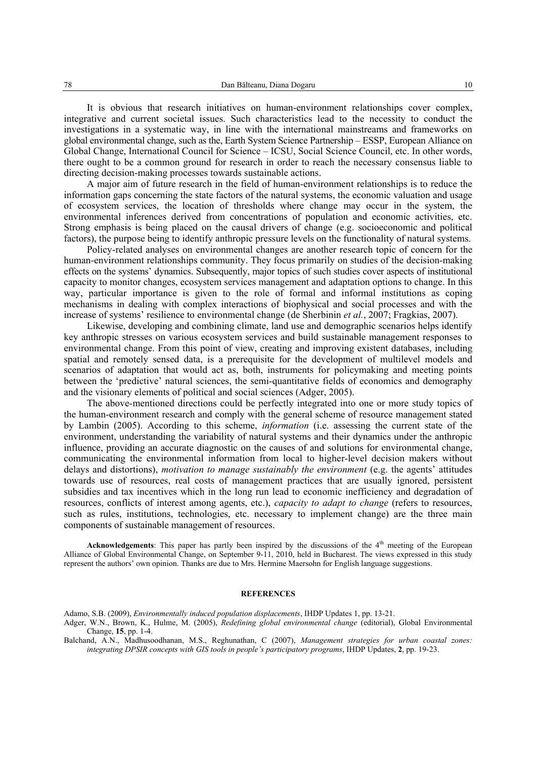It is obvious that research initiatives on human-environment relationships cover complex, integrative and current societal issues. Such characteristics lead to the necessity to conduct the investigations in a systematic way, in line with the international mainstreams and frameworks on global environmental change, such as the, Earth System Science Partnership – ESSP, European Alliance on Global Change, International Council for Science – ICSU, Social Science Council, etc. In other words, there ought to be a common ground for research in order to reach the necessary consensus liable to directing decision-making processes towards sustainable actions.

A major aim of future research in the field of human-environment relationships is to reduce the information gaps concerning the state factors of the natural systems, the economic valuation and usage of ecosystem services, the location of thresholds where change may occur in the system, the environmental inferences derived from concentrations of population and economic activities, etc. Strong emphasis is being placed on the causal drivers of change (e.g. socioeconomic and political factors), the purpose being to identify anthropic pressure levels on the functionality of natural systems.

Policy-related analyses on environmental changes are another research topic of concern for the human-environment relationships community. They focus primarily on studies of the decision-making effects on the systems' dynamics. Subsequently, major topics of such studies cover aspects of institutional capacity to monitor changes, ecosystem services management and adaptation options to change. In this way, particular importance is given to the role of formal and informal institutions as coping mechanisms in dealing with complex interactions of biophysical and social processes and with the increase of systems' resilience to environmental change (de Sherbinin *et al.*, 2007; Fragkias, 2007).

Likewise, developing and combining climate, land use and demographic scenarios helps identify key anthropic stresses on various ecosystem services and build sustainable management responses to environmental change. From this point of view, creating and improving existent databases, including spatial and remotely sensed data, is a prerequisite for the development of multilevel models and scenarios of adaptation that would act as, both, instruments for policymaking and meeting points between the 'predictive' natural sciences, the semi-quantitative fields of economics and demography and the visionary elements of political and social sciences (Adger, 2005).

The above-mentioned directions could be perfectly integrated into one or more study topics of the human-environment research and comply with the general scheme of resource management stated by Lambin (2005). According to this scheme, *information* (i.e. assessing the current state of the environment, understanding the variability of natural systems and their dynamics under the anthropic influence, providing an accurate diagnostic on the causes of and solutions for environmental change, communicating the environmental information from local to higher-level decision makers without delays and distortions), *motivation to manage sustainably the environment* (e.g. the agents' attitudes towards use of resources, real costs of management practices that are usually ignored, persistent subsidies and tax incentives which in the long run lead to economic inefficiency and degradation of resources, conflicts of interest among agents, etc.), *capacity to adapt to change* (refers to resources, such as rules, institutions, technologies, etc. necessary to implement change) are the three main components of sustainable management of resources.

Acknowledgements: This paper has partly been inspired by the discussions of the 4<sup>th</sup> meeting of the European Alliance of Global Environmental Change, on September 9-11, 2010, held in Bucharest. The views expressed in this study represent the authors' own opinion. Thanks are due to Mrs. Hermine Maersohn for English language suggestions.

#### **REFERENCES**

Adamo, S.B. (2009), *Environmentally induced population displacements*, IHDP Updates 1, pp. 13-21.

Adger, W.N., Brown, K., Hulme, M. (2005), *Redefining global environmental change* (editorial), Global Environmental Change, **15**, pp. 1-4.

Balchand, A.N., Madhusoodhanan, M.S., Reghunathan, C (2007), *Management strategies for urban coastal zones: integrating DPSIR concepts with GIS tools in people's participatory programs*, IHDP Updates, **2**, pp. 19-23.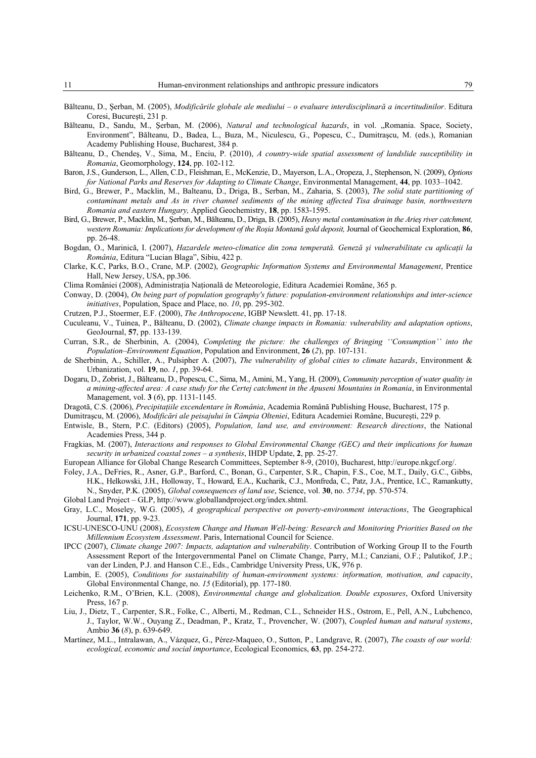- Bălteanu, D., Şerban, M. (2005), *Modificările globale ale mediului o evaluare interdisciplinară a incertitudinilor*. Editura Coresi, Bucureşti, 231 p.
- Bălteanu, D., Sandu, M., Şerban, M. (2006), *Natural and technological hazards*, in vol. "Romania. Space, Society, Environment", Bălteanu, D., Badea, L., Buza, M., Niculescu, G., Popescu, C., Dumitraşcu, M. (eds.), Romanian Academy Publishing House, Bucharest, 384 p.
- Bălteanu, D., Chendeş, V., Sima, M., Enciu, P. (2010), *A country-wide spatial assessment of landslide susceptibility in Romania*, Geomorphology, **124**, pp. 102-112.
- Baron, J.S., Gunderson, L., Allen, C.D., Fleishman, E., McKenzie, D., Mayerson, L.A., Oropeza, J., Stephenson, N. (2009), *Options for National Parks and Reserves for Adapting to Climate Change*, Environmental Management, **44**, pp. 1033–1042.
- Bird, G., Brewer, P., Macklin, M., Balteanu, D., Driga, B., Serban, M., Zaharia, S. (2003), *The solid state partitioning of contaminant metals and As in river channel sediments of the mining affected Tisa drainage basin, northwestern Romania and eastern Hungary,* Applied Geochemistry, **18**, pp. 1583-1595.
- Bird, G., Brewer, P., Macklin, M., Şerban, M., Bălteanu, D., Driga, B. (2005), *Heavy metal contamination in the Arieş river catchment, western Romania: Implications for development of the Roşia Montană gold deposit,* Journal of Geochemical Exploration, **86**, pp. 26-48.
- Bogdan, O., Marinică, I. (2007), *Hazardele meteo-climatice din zona temperată. Geneză și vulnerabilitate cu aplicatii la România*, Editura "Lucian Blaga", Sibiu, 422 p.
- Clarke, K.C, Parks, B.O., Crane, M.P. (2002), *Geographic Information Systems and Environmental Management*, Prentice Hall, New Jersey, USA, pp.306.
- Clima României (2008), Administraţia Naţională de Meteorologie, Editura Academiei Române, 365 p.
- Conway, D. (2004), *On being part of population geography′s future: population-environment relationships and inter-science initiatives*, Population, Space and Place, no. *10*, pp. 295-302.
- Crutzen, P.J., Stoermer, E.F. (2000), *The Anthropocene*, IGBP Newslett. 41, pp. 17-18.
- Cuculeanu, V., Tuinea, P., Bălteanu, D. (2002), *Climate change impacts in Romania: vulnerability and adaptation options*, GeoJournal, **57**, pp. 133-139.
- Curran, S.R., de Sherbinin, A. (2004), *Completing the picture: the challenges of Bringing ''Consumption'' into the Population–Environment Equation*, Population and Environment, **26** (*2*), pp. 107-131.
- de Sherbinin, A., Schiller, A., Pulsipher A. (2007), *The vulnerability of global cities to climate hazards*, Environment & Urbanization, vol. **19**, no. *1*, pp. 39-64.
- Dogaru, D., Zobrist, J., Bălteanu, D., Popescu, C., Sima, M., Amini, M., Yang, H. (2009), *Community perception of water quality in a mining-affected area: A case study for the Certej catchment in the Apuseni Mountains in Romania*, in Environmental Management, vol. **3** (*6*), pp. 1131-1145.
- Dragotă, C.S. (2006), *Precipitaţiile excendentare în România*, Academia Română Publishing House, Bucharest, 175 p.

Dumitraşcu, M. (2006), *Modificări ale peisajului în Câmpia Olteniei*, Editura Academiei Române, Bucureşti, 229 p.

- Entwisle, B., Stern, P.C. (Editors) (2005), *Population, land use, and environment: Research directions*, the National Academies Press, 344 p.
- Fragkias, M. (2007), *Interactions and responses to Global Environmental Change (GEC) and their implications for human security in urbanized coastal zones – a synthesis*, IHDP Update, **2**, pp. 25-27.
- European Alliance for Global Change Research Committees, September 8-9, (2010), Bucharest, http://europe.nkgcf.org/.
- Foley, J.A., DeFries, R., Asner, G.P., Barford, C., Bonan, G., Carpenter, S.R., Chapin, F.S., Coe, M.T., Daily, G.C., Gibbs, H.K., Helkowski, J.H., Holloway, T., Howard, E.A., Kucharik, C.J., Monfreda, C., Patz, J.A., Prentice, I.C., Ramankutty, N., Snyder, P.K. (2005), *Global consequences of land use*, Science, vol. **30**, no. *5734*, pp. 570-574.
- Global Land Project GLP, http://www.globallandproject.org/index.shtml.
- Gray, L.C., Moseley, W.G. (2005), *A geographical perspective on poverty-environment interactions*, The Geographical Journal, **171**, pp. 9-23.
- ICSU-UNESCO-UNU (2008), *Ecosystem Change and Human Well-being: Research and Monitoring Priorities Based on the Millennium Ecosystem Assessment*. Paris, International Council for Science.
- IPCC (2007), *Climate change 2007: Impacts, adaptation and vulnerability*. Contribution of Working Group II to the Fourth Assessment Report of the Intergovernmental Panel on Climate Change, Parry, M.I.; Canziani, O.F.; Palutikof, J.P.; van der Linden, P.J. and Hanson C.E., Eds., Cambridge University Press, UK, 976 p.
- Lambin, E. (2005), *Conditions for sustainability of human-environment systems: information, motivation, and capacity*, Global Environmental Change, no. *15* (Editorial), pp. 177-180.
- Leichenko, R.M., O'Brien, K.L. (2008), *Environmental change and globalization. Double exposures*, Oxford University Press, 167 p.
- Liu, J., Dietz, T., Carpenter, S.R., Folke, C., Alberti, M., Redman, C.L., Schneider H.S., Ostrom, E., Pell, A.N., Lubchenco, J., Taylor, W.W., Ouyang Z., Deadman, P., Kratz, T., Provencher, W. (2007), *Coupled human and natural systems*, Ambio **36** (*8*), p. 639-649.
- Martínez, M.L., Intralawan, A., Vázquez, G., Pérez-Maqueo, O., Sutton, P., Landgrave, R. (2007), *The coasts of our world: ecological, economic and social importance*, Ecological Economics, **63**, pp. 254-272.